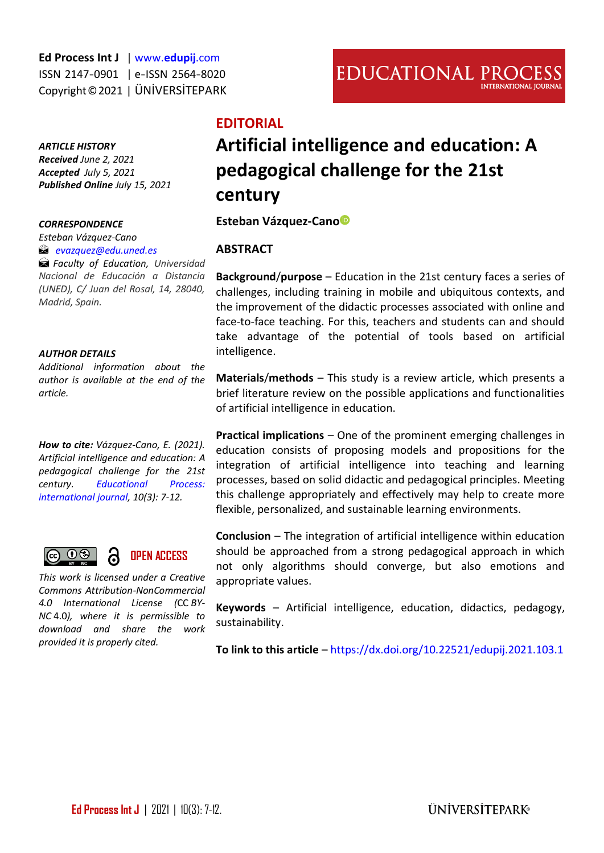**Ed Process Int J** [| www.](http://www.edupij.com/)**edupij**.com ISSN 2147-0901 | e-ISSN 2564-8020 Copyright©2021 | ÜNİVERSİTEPARK

#### *ARTICLE HISTORY*

*Received June 2, 2021 Accepted July 5, 2021 Published Online July 15, 2021* 

#### *CORRESPONDENCE*

*Esteban Vázquez-Cano [evazquez@edu.uned.es](mailto:evazquez@edu.uned.es)*

*Faculty of Education, Universidad Nacional de Educación a Distancia (UNED), C/ Juan del Rosal, 14, 28040, Madrid, Spain.*

#### *AUTHOR DETAILS*

*Additional information about the author is available at the end of the article.*

*How to cite: Vázquez-Cano, E. (2021). Artificial intelligence and education: A pedagogical challenge for the 21st century. [Educational Process:](http://edupij.com/)  [international journal,](http://edupij.com/) 10(3): 7-12.*

$$
\begin{array}{ccc}\n\textbf{C} & \textbf{O} & \textbf{O} & \textbf{O} \\
\textbf{C} & \textbf{O} & \textbf{O} & \textbf{O} & \textbf{O} \\
\textbf{C} & \textbf{O} & \textbf{O} & \textbf{O} & \textbf{O} & \textbf{O}\n\end{array}
$$

**OPEN ACCESS** 6

*This work is licensed under a Creative Commons Attribution-NonCommercial 4.0 International License (*CC *BY-NC* 4.0*), where it is permissible to download and share the work provided it is properly cited.*

# **Artificial intelligence and education: A pedagogical challenge for the 21st century**

**Esteban Vázquez-Can[o](https://orcid.org/0000-0002-6694-7948)**

## **ABSTRACT**

**Background**/**purpose** – Education in the 21st century faces a series of challenges, including training in mobile and ubiquitous contexts, and the improvement of the didactic processes associated with online and face-to-face teaching. For this, teachers and students can and should take advantage of the potential of tools based on artificial intelligence.

**Materials**/**methods** – This study is a review article, which presents a brief literature review on the possible applications and functionalities of artificial intelligence in education.

**Practical implications** – One of the prominent emerging challenges in education consists of proposing models and propositions for the integration of artificial intelligence into teaching and learning processes, based on solid didactic and pedagogical principles. Meeting this challenge appropriately and effectively may help to create more flexible, personalized, and sustainable learning environments.

**Conclusion** – The integration of artificial intelligence within education should be approached from a strong pedagogical approach in which not only algorithms should converge, but also emotions and appropriate values.

**Keywords** – Artificial intelligence, education, didactics, pedagogy, sustainability.

**To link to this article** – <https://dx.doi.org/10.22521/edupij.2021.103.1>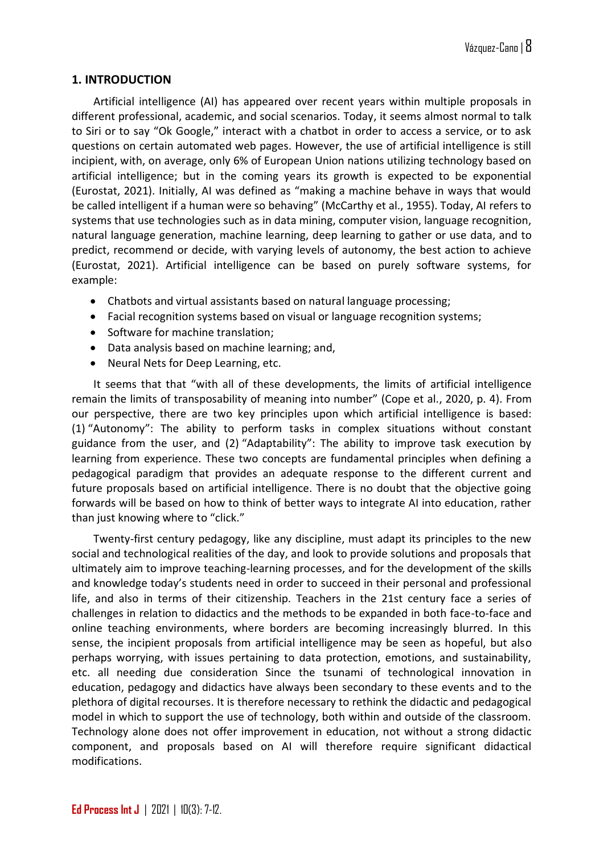## **1. INTRODUCTION**

Artificial intelligence (AI) has appeared over recent years within multiple proposals in different professional, academic, and social scenarios. Today, it seems almost normal to talk to Siri or to say "Ok Google," interact with a chatbot in order to access a service, or to ask questions on certain automated web pages. However, the use of artificial intelligence is still incipient, with, on average, only 6% of European Union nations utilizing technology based on artificial intelligence; but in the coming years its growth is expected to be exponential (Eurostat, 2021). Initially, AI was defined as "making a machine behave in ways that would be called intelligent if a human were so behaving" (McCarthy et al., 1955). Today, AI refers to systems that use technologies such as in data mining, computer vision, language recognition, natural language generation, machine learning, deep learning to gather or use data, and to predict, recommend or decide, with varying levels of autonomy, the best action to achieve (Eurostat, 2021). Artificial intelligence can be based on purely software systems, for example:

- Chatbots and virtual assistants based on natural language processing;
- Facial recognition systems based on visual or language recognition systems;
- Software for machine translation;
- Data analysis based on machine learning; and,
- Neural Nets for Deep Learning, etc.

It seems that that "with all of these developments, the limits of artificial intelligence remain the limits of transposability of meaning into number" (Cope et al., 2020, p. 4). From our perspective, there are two key principles upon which artificial intelligence is based: (1) "Autonomy": The ability to perform tasks in complex situations without constant guidance from the user, and (2) "Adaptability": The ability to improve task execution by learning from experience. These two concepts are fundamental principles when defining a pedagogical paradigm that provides an adequate response to the different current and future proposals based on artificial intelligence. There is no doubt that the objective going forwards will be based on how to think of better ways to integrate AI into education, rather than just knowing where to "click."

Twenty-first century pedagogy, like any discipline, must adapt its principles to the new social and technological realities of the day, and look to provide solutions and proposals that ultimately aim to improve teaching-learning processes, and for the development of the skills and knowledge today's students need in order to succeed in their personal and professional life, and also in terms of their citizenship. Teachers in the 21st century face a series of challenges in relation to didactics and the methods to be expanded in both face-to-face and online teaching environments, where borders are becoming increasingly blurred. In this sense, the incipient proposals from artificial intelligence may be seen as hopeful, but also perhaps worrying, with issues pertaining to data protection, emotions, and sustainability, etc. all needing due consideration Since the tsunami of technological innovation in education, pedagogy and didactics have always been secondary to these events and to the plethora of digital recourses. It is therefore necessary to rethink the didactic and pedagogical model in which to support the use of technology, both within and outside of the classroom. Technology alone does not offer improvement in education, not without a strong didactic component, and proposals based on AI will therefore require significant didactical modifications.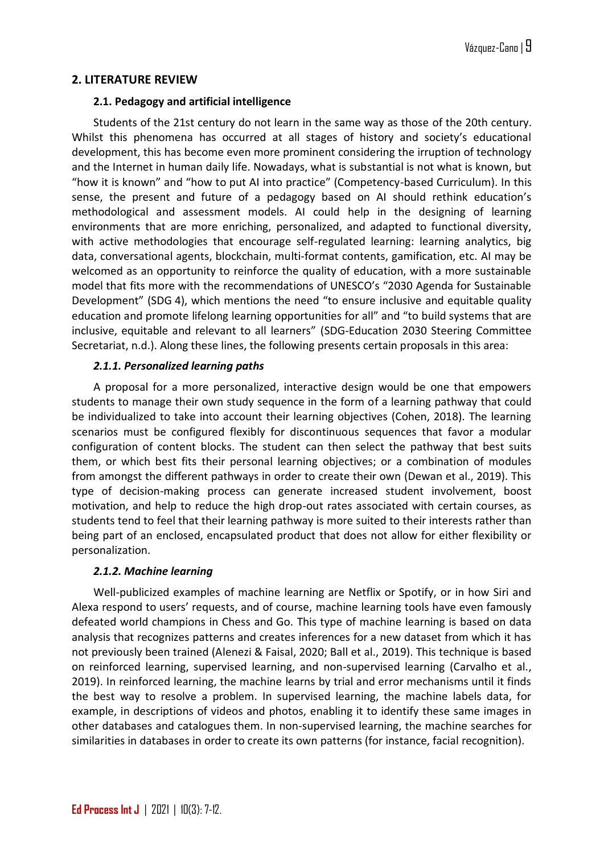# **2. LITERATURE REVIEW**

#### **2.1. Pedagogy and artificial intelligence**

Students of the 21st century do not learn in the same way as those of the 20th century. Whilst this phenomena has occurred at all stages of history and society's educational development, this has become even more prominent considering the irruption of technology and the Internet in human daily life. Nowadays, what is substantial is not what is known, but "how it is known" and "how to put AI into practice" (Competency-based Curriculum). In this sense, the present and future of a pedagogy based on AI should rethink education's methodological and assessment models. AI could help in the designing of learning environments that are more enriching, personalized, and adapted to functional diversity, with active methodologies that encourage self-regulated learning: learning analytics, big data, conversational agents, blockchain, multi-format contents, gamification, etc. AI may be welcomed as an opportunity to reinforce the quality of education, with a more sustainable model that fits more with the recommendations of UNESCO's "2030 Agenda for Sustainable Development" (SDG 4), which mentions the need "to ensure inclusive and equitable quality education and promote lifelong learning opportunities for all" and "to build systems that are inclusive, equitable and relevant to all learners" (SDG-Education 2030 Steering Committee Secretariat, n.d.). Along these lines, the following presents certain proposals in this area:

## *2.1.1. Personalized learning paths*

A proposal for a more personalized, interactive design would be one that empowers students to manage their own study sequence in the form of a learning pathway that could be individualized to take into account their learning objectives (Cohen, 2018). The learning scenarios must be configured flexibly for discontinuous sequences that favor a modular configuration of content blocks. The student can then select the pathway that best suits them, or which best fits their personal learning objectives; or a combination of modules from amongst the different pathways in order to create their own (Dewan et al., 2019). This type of decision-making process can generate increased student involvement, boost motivation, and help to reduce the high drop-out rates associated with certain courses, as students tend to feel that their learning pathway is more suited to their interests rather than being part of an enclosed, encapsulated product that does not allow for either flexibility or personalization.

#### *2.1.2. Machine learning*

Well-publicized examples of machine learning are Netflix or Spotify, or in how Siri and Alexa respond to users' requests, and of course, machine learning tools have even famously defeated world champions in Chess and Go. This type of machine learning is based on data analysis that recognizes patterns and creates inferences for a new dataset from which it has not previously been trained (Alenezi & Faisal, 2020; Ball et al., 2019). This technique is based on reinforced learning, supervised learning, and non-supervised learning (Carvalho et al., 2019). In reinforced learning, the machine learns by trial and error mechanisms until it finds the best way to resolve a problem. In supervised learning, the machine labels data, for example, in descriptions of videos and photos, enabling it to identify these same images in other databases and catalogues them. In non-supervised learning, the machine searches for similarities in databases in order to create its own patterns (for instance, facial recognition).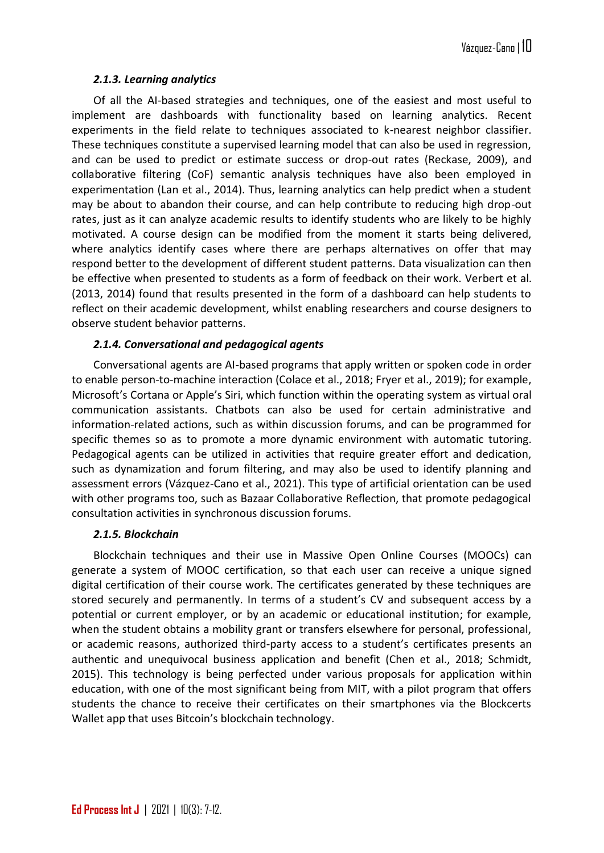# *2.1.3. Learning analytics*

Of all the AI-based strategies and techniques, one of the easiest and most useful to implement are dashboards with functionality based on learning analytics. Recent experiments in the field relate to techniques associated to k-nearest neighbor classifier. These techniques constitute a supervised learning model that can also be used in regression, and can be used to predict or estimate success or drop-out rates (Reckase, 2009), and collaborative filtering (CoF) semantic analysis techniques have also been employed in experimentation (Lan et al., 2014). Thus, learning analytics can help predict when a student may be about to abandon their course, and can help contribute to reducing high drop-out rates, just as it can analyze academic results to identify students who are likely to be highly motivated. A course design can be modified from the moment it starts being delivered, where analytics identify cases where there are perhaps alternatives on offer that may respond better to the development of different student patterns. Data visualization can then be effective when presented to students as a form of feedback on their work. Verbert et al. (2013, 2014) found that results presented in the form of a dashboard can help students to reflect on their academic development, whilst enabling researchers and course designers to observe student behavior patterns.

## *2.1.4. Conversational and pedagogical agents*

Conversational agents are AI-based programs that apply written or spoken code in order to enable person-to-machine interaction (Colace et al., 2018; Fryer et al., 2019); for example, Microsoft's Cortana or Apple's Siri, which function within the operating system as virtual oral communication assistants. Chatbots can also be used for certain administrative and information-related actions, such as within discussion forums, and can be programmed for specific themes so as to promote a more dynamic environment with automatic tutoring. Pedagogical agents can be utilized in activities that require greater effort and dedication, such as dynamization and forum filtering, and may also be used to identify planning and assessment errors (Vázquez-Cano et al., 2021). This type of artificial orientation can be used with other programs too, such as Bazaar Collaborative Reflection, that promote pedagogical consultation activities in synchronous discussion forums.

# *2.1.5. Blockchain*

Blockchain techniques and their use in Massive Open Online Courses (MOOCs) can generate a system of MOOC certification, so that each user can receive a unique signed digital certification of their course work. The certificates generated by these techniques are stored securely and permanently. In terms of a student's CV and subsequent access by a potential or current employer, or by an academic or educational institution; for example, when the student obtains a mobility grant or transfers elsewhere for personal, professional, or academic reasons, authorized third-party access to a student's certificates presents an authentic and unequivocal business application and benefit (Chen et al., 2018; Schmidt, 2015). This technology is being perfected under various proposals for application within education, with one of the most significant being from MIT, with a pilot program that offers students the chance to receive their certificates on their smartphones via the Blockcerts Wallet app that uses Bitcoin's blockchain technology.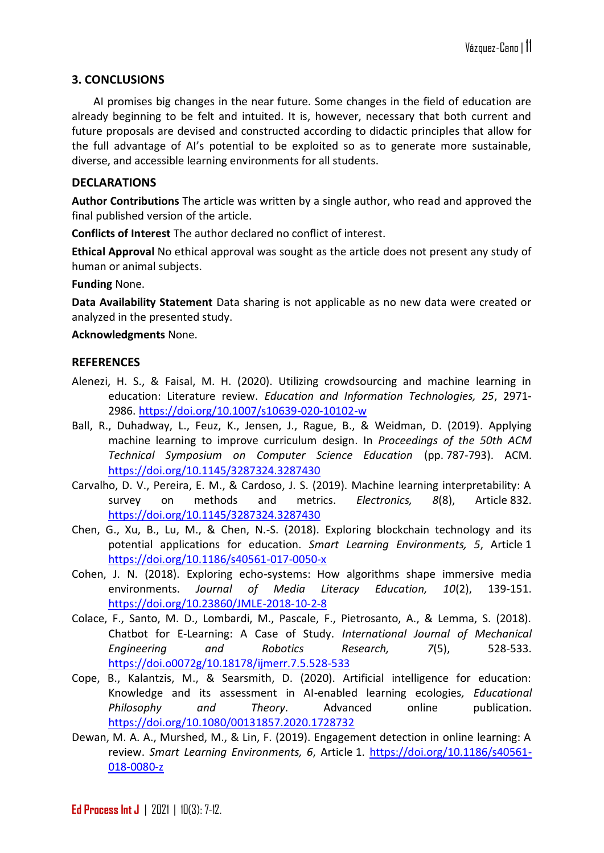## **3. CONCLUSIONS**

AI promises big changes in the near future. Some changes in the field of education are already beginning to be felt and intuited. It is, however, necessary that both current and future proposals are devised and constructed according to didactic principles that allow for the full advantage of AI's potential to be exploited so as to generate more sustainable, diverse, and accessible learning environments for all students.

#### **DECLARATIONS**

**Author Contributions** The article was written by a single author, who read and approved the final published version of the article.

**Conflicts of Interest** The author declared no conflict of interest.

**Ethical Approval** No ethical approval was sought as the article does not present any study of human or animal subjects.

**Funding** None.

**Data Availability Statement** Data sharing is not applicable as no new data were created or analyzed in the presented study.

#### **Acknowledgments** None.

#### **REFERENCES**

- Alenezi, H. S., & Faisal, M. H. (2020). Utilizing crowdsourcing and machine learning in education: Literature review. *Education and Information Technologies, 25*, 2971- 2986.<https://doi.org/10.1007/s10639-020-10102-w>
- Ball, R., Duhadway, L., Feuz, K., Jensen, J., Rague, B., & Weidman, D. (2019). Applying machine learning to improve curriculum design. In *Proceedings of the 50th ACM Technical Symposium on Computer Science Education* (pp. 787-793). ACM. <https://doi.org/10.1145/3287324.3287430>
- Carvalho, D. V., Pereira, E. M., & Cardoso, J. S. (2019). Machine learning interpretability: A survey on methods and metrics. *Electronics, 8*(8), Article 832. <https://doi.org/10.1145/3287324.3287430>
- Chen, G., Xu, B., Lu, M., & Chen, N.-S. (2018). Exploring blockchain technology and its potential applications for education. *Smart Learning Environments, 5*, Article 1 <https://doi.org/10.1186/s40561-017-0050-x>
- Cohen, J. N. (2018). Exploring echo-systems: How algorithms shape immersive media environments. *Journal of Media Literacy Education, 10*(2), 139-151. <https://doi.org/10.23860/JMLE-2018-10-2-8>
- Colace, F., Santo, M. D., Lombardi, M., Pascale, F., Pietrosanto, A., & Lemma, S. (2018). Chatbot for E-Learning: A Case of Study. *International Journal of Mechanical Engineering and Robotics Research, 7*(5), 528-533. [https://doi.o0072g/10.18178/ijmerr.7.5.528-533](https://doi.org/10.18178/ijmerr.7.5.528-533)
- Cope, B., Kalantzis, M., & Searsmith, D. (2020). Artificial intelligence for education: Knowledge and its assessment in AI-enabled learning ecologies*, Educational Philosophy and Theory*. Advanced online publication. <https://doi.org/10.1080/00131857.2020.1728732>
- Dewan, M. A. A., Murshed, M., & Lin, F. (2019). Engagement detection in online learning: A review. *Smart Learning Environments, 6*, Article 1. [https://doi.org/10.1186/s40561-](https://doi.org/10.1186/s40561-018-0080-z) [018-0080-z](https://doi.org/10.1186/s40561-018-0080-z)